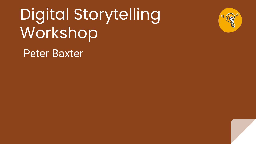# Digital Storytelling Workshop



Peter Baxter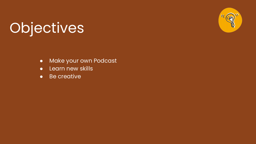## **Objectives**



- **•** Make your own Podcast
- Learn new skills
- Be creative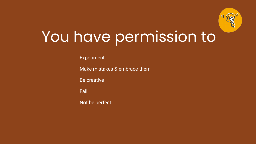

## You have permission to

Experiment

Make mistakes & embrace them

Be creative

Fail

Not be perfect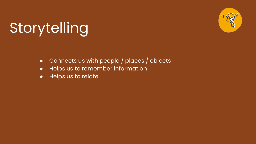## Storytelling



- Connects us with people / places / objects
- Helps us to remember information
- Helps us to relate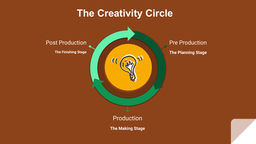### **The Creativity Circle**

**Post Production** 

**The Finishing Stage** 

 $\alpha$ 

Pre Production **The Planning Stage** 

Production

**The Making Stage**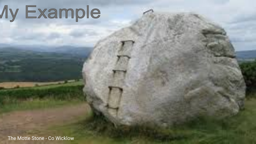# **Ay Example**

The Motte Stone - Co Wicklow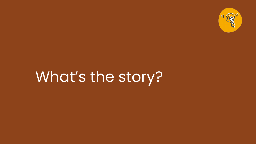

## What's the story?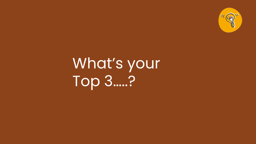

## What's your Top 3....?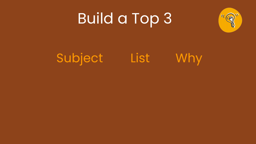## Build a Top 3



## Subject List Why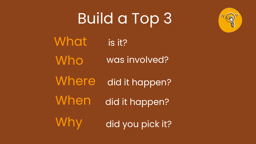## Build a Top 3



**What** Who **Where** When Why is it? was involved? did it happen? did it happen? did you pick it?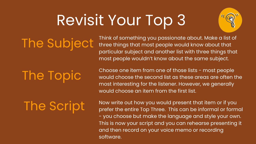## Revisit Your Top 3



The Subject

Think of something you passionate about. Make a list of three things that most people would know about that particular subject and another list with three things that most people wouldn't know about the same subject.

## The Topic

Choose one item from one of those lists - most people would choose the second list as these areas are often the most interesting for the listener. However, we generally would choose an item from the first list.

The Script

Now write out how you would present that item or if you prefer the entire Top Three. This can be informal or formal - you choose but make the language and style your own. This is now your script and you can rehearse presenting it and then record on your voice memo or recording software.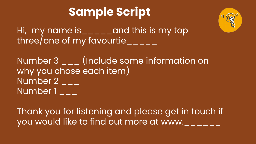### **Sample Script**



Hi, my name is\_\_\_\_\_and this is my top three/one of my favourtie\_\_\_\_\_

Number 3 \_\_\_ (Include some information on why you chose each item) Number  $2_{--}$ Number 1

Thank you for listening and please get in touch if you would like to find out more at www.\_\_\_\_\_\_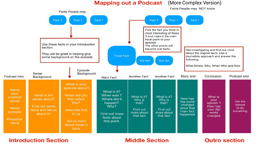#### **Mapping out a Podcast**

#### (More Complex Version)

Facts People may NOT know



#### **Introduction Section**

### **Middle Section**

### **Outro section**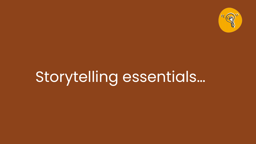

## Storytelling essentials...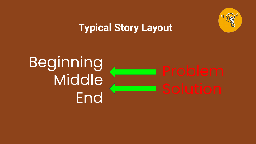

### **Typical Story Layout**

## Beginning Middle **End**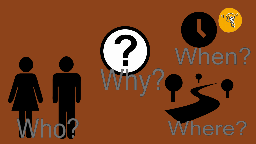